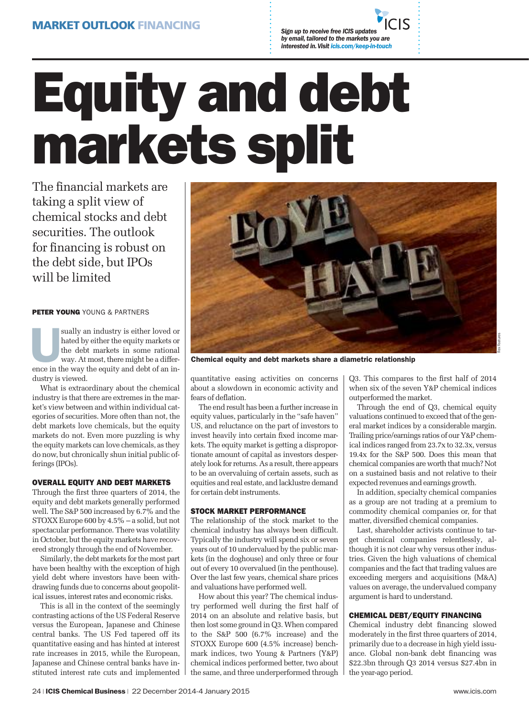*by email, tailored to the markets you are interested in. Visit icis.com/keep-in-touch*

# **Equity and debt markets split**

The financial markets are taking a split view of chemical stocks and debt securities. The outlook for financing is robust on the debt side, but IPOs will be limited

**PETER YOUNG** YOUNG & PARTNERS

**ELEN FOORE** FOORE & FARTNERS<br>
sually an industry is either loved or<br>
hated by either the equity markets or<br>
the debt markets in some rational<br>
way. At most, there might be a differhated by either the equity markets or the debt markets in some rational way. At most, there might be a difference in the way the equity and debt of an industry is viewed.

What is extraordinary about the chemical industry is that there are extremes in the market's view between and within individual categories of securities. More often than not, the debt markets love chemicals, but the equity markets do not. Even more puzzling is why the equity markets can love chemicals, as they do now, but chronically shun initial public offerings (IPOs).

### **OVERALL EQUITY AND DEBT MARKETS**

Through the first three quarters of 2014, the equity and debt markets generally performed well. The S&P 500 increased by 6.7% and the STOXX Europe 600 by 4.5% – a solid, but not spectacular performance. There was volatility in October, but the equity markets have recovered strongly through the end of November.

Similarly, the debt markets for the most part have been healthy with the exception of high yield debt where investors have been withdrawing funds due to concerns about geopolitical issues, interest rates and economic risks.

This is all in the context of the seemingly contrasting actions of the US Federal Reserve versus the European, Japanese and Chinese central banks. The US Fed tapered off its quantitative easing and has hinted at interest rate increases in 2015, while the European, Japanese and Chinese central banks have instituted interest rate cuts and implemented



**Chemical equity and debt markets share a diametric relationship**

quantitative easing activities on concerns about a slowdown in economic activity and fears of deflation.

The end result has been a further increase in equity values, particularly in the "safe haven" US, and reluctance on the part of investors to invest heavily into certain fixed income markets. The equity market is getting a disproportionate amount of capital as investors desperately look for returns. As a result, there appears to be an overvaluing of certain assets, such as equities and real estate, and lacklustre demand for certain debt instruments.

### **STOCK MARKET PERFORMANCE**

The relationship of the stock market to the chemical industry has always been difficult. Typically the industry will spend six or seven years out of 10 undervalued by the public markets (in the doghouse) and only three or four out of every 10 overvalued (in the penthouse). Over the last few years, chemical share prices and valuations have performed well.

How about this year? The chemical industry performed well during the first half of 2014 on an absolute and relative basis, but then lost some ground in Q3. When compared to the S&P 500 (6.7% increase) and the STOXX Europe 600 (4.5% increase) benchmark indices, two Young & Partners (Y&P) chemical indices performed better, two about the same, and three underperformed through Q3. This compares to the first half of 2014 when six of the seven Y&P chemical indices outperformed the market.

Through the end of Q3, chemical equity valuations continued to exceed that of the general market indices by a considerable margin. Trailing price/earnings ratios of our Y&P chemical indices ranged from 23.7x to 32.3x, versus 19.4x for the S&P 500. Does this mean that chemical companies are worth that much? Not on a sustained basis and not relative to their expected revenues and earnings growth.

In addition, specialty chemical companies as a group are not trading at a premium to commodity chemical companies or, for that matter, diversified chemical companies.

Last, shareholder activists continue to target chemical companies relentlessly, although it is not clear why versus other industries. Given the high valuations of chemical companies and the fact that trading values are exceeding mergers and acquisitions (M&A) values on average, the undervalued company argument is hard to understand.

## **CHEMICAL DEBT/EQUITY FINANCING**

Chemical industry debt financing slowed moderately in the first three quarters of 2014, primarily due to a decrease in high yield issuance. Global non-bank debt financing was \$22.3bn through Q3 2014 versus \$27.4bn in the year-ago period.